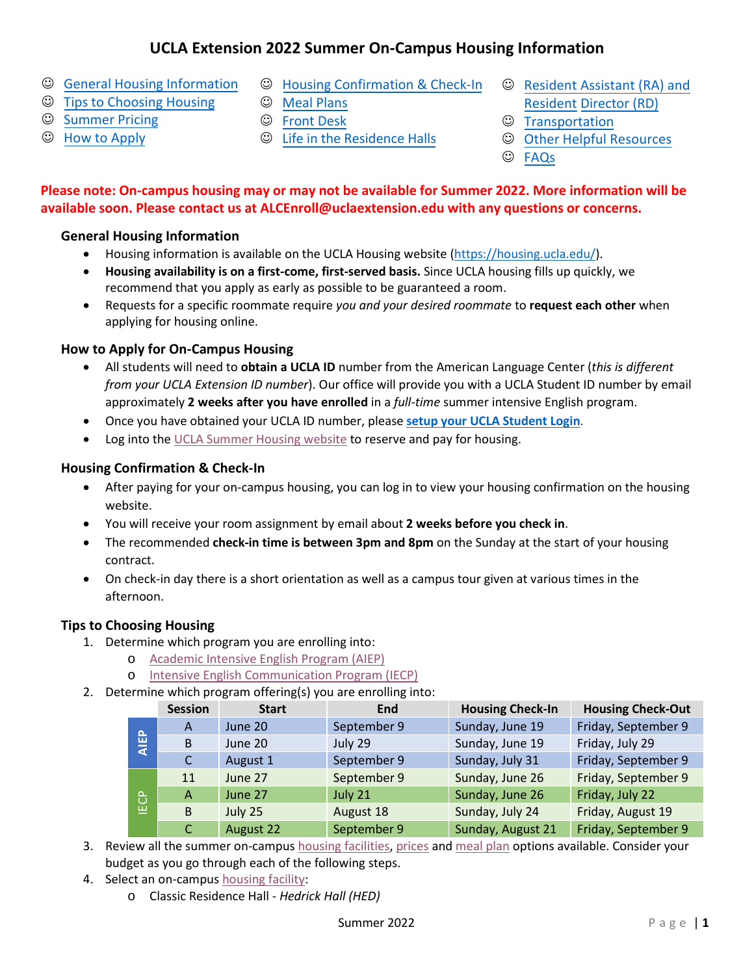## **UCLA Extension 2022 Summer On-Campus Housing Information**

- General Housing [Information](#page-0-0)
- $\odot$  Tips to Choosing [Housing](#page-0-1)
- **Summer P[ricing](#page-6-0)**
- $\odot$  How to Ap[ply](#page-0-2)
- Housing Confirmation & Check-In
- Meal Plans
- Front Desk
- Life in the Residen[ce Halls](#page-1-3)
- $\odot$  [Resident Assi](#page-1-2)stant (RA) and [Resident](#page-1-3) Director (RD)
- © Transportation
- Other Helpful Resources
- [FAQs](#page-2-1)

## **Please note: O[n-campus ho](#page-1-1)using may or may not be available for [Summ](#page-10-0)er 2022. More information will be available soon. Please contact us at ALCEnroll@uclaextension.edu with any questions or concerns.**

### <span id="page-0-0"></span>**General Housing Information**

- Housing information is available on the UCLA Housing website [\(https://housing.ucla.edu/\)](https://housing.ucla.edu/).
- **Housing availability is on a first-come, first-served basis.** Since UCLA housing fills up quickly, we recommend that you apply as early as possible to be guaranteed a room.
- Requests for a specific roommate require *you and your desired roommate* to **request each other** when applying for housing online.

## <span id="page-0-2"></span>**How to Apply for On-Campus Housing**

- All students will need to **obtain a UCLA ID** number from the American Language Center (*this is different from your UCLA Extension ID number*). Our office will provide you with a UCLA Student ID number by email approximately **2 weeks after you have enrolled** in a *full-time* summer intensive English program.
- Once you have obtained your UCLA ID number, please **[setup your UCLA Student Login](https://ucla.box.com/s/u4k6fj0kr0bbw5x43qnilr2kv3ev2gub)**.
- Log into the [UCLA Summer Housing](https://housing.ucla.edu/summer-housing/summer-sessions-housing/summer-sessions-housing) website to reserve and pay for housing.

### **Housing Confirmation & Check-In**

- After paying for your on-campus housing, you can log in to view your housing confirmation on the housing website.
- You will receive your room assignment by email about **2 weeks before you check in**.
- The recommended **check-in time is between 3pm and 8pm** on the Sunday at the start of your housing contract.
- On check-in day there is a short orientation as well as a campus tour given at various times in the afternoon.

## <span id="page-0-1"></span>**Tips to Choosing Housing**

- 1. Determine which program you are enrolling into:
	- o [Academic Intensive English Program \(AIEP\)](https://www.uclaextension.edu/english-language-programs/academic-intensive-english-program-aiep)
	- o [Intensive English Communication Program \(IECP\)](https://www.uclaextension.edu/english-language-programs/intensive-english-communication-program-iecp)
- 2. Determine which program offering(s) you are enrolling into:

|             | <b>Session</b> | <b>Start</b>     | End         | <b>Housing Check-In</b> | <b>Housing Check-Out</b> |
|-------------|----------------|------------------|-------------|-------------------------|--------------------------|
|             | A              | June 20          | September 9 | Sunday, June 19         | Friday, September 9      |
| <b>AIEP</b> | <sub>B</sub>   | June 20          | July 29     | Sunday, June 19         | Friday, July 29          |
|             | C              | August 1         | September 9 | Sunday, July 31         | Friday, September 9      |
|             | 11             | June 27          | September 9 | Sunday, June 26         | Friday, September 9      |
|             | A              | June 27          | July 21     | Sunday, June 26         | Friday, July 22          |
| <b>IECP</b> | <sub>B</sub>   | July 25          | August 18   | Sunday, July 24         | Friday, August 19        |
|             | C              | <b>August 22</b> | September 9 | Sunday, August 21       | Friday, September 9      |

- 3. Review all the summer on-campus [housing facilities,](#page-4-0) [prices](#page-6-0) and [meal plan](#page-1-0) options available. Consider your budget as you go through each of the following steps.
- 4. Select an on-campu[s housing facility:](#page-4-0)
	- o Classic Residence Hall *Hedrick Hall (HED)*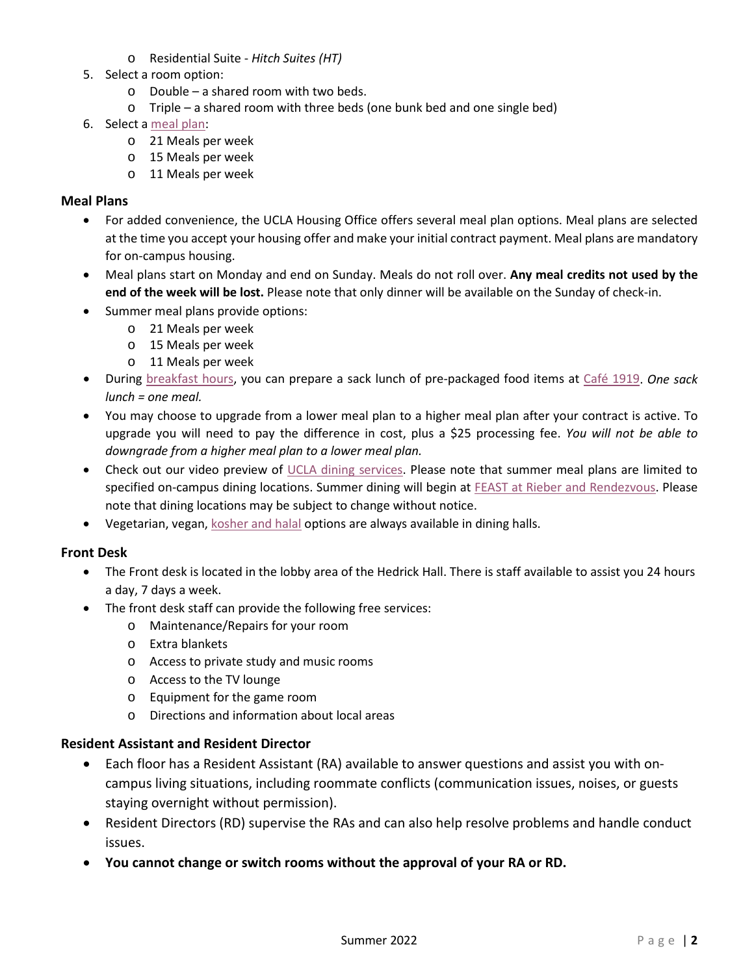- o Residential Suite *Hitch Suites (HT)*
- 5. Select a room option:
	- o Double a shared room with two beds.
	- o Triple a shared room with three beds (one bunk bed and one single bed)
- 6. Select [a meal plan:](#page-1-0)
	- o 21 Meals per week
	- o 15 Meals per week
	- o 11 Meals per week

### <span id="page-1-0"></span>**Meal Plans**

- For added convenience, the UCLA Housing Office offers several meal plan options. Meal plans are selected at the time you accept your housing offer and make your initial contract payment. Meal plans are mandatory for on-campus housing.
- Meal plans start on Monday and end on Sunday. Meals do not roll over. **Any meal credits not used by the end of the week will be lost.** Please note that only dinner will be available on the Sunday of check-in.
- Summer meal plans provide options:
	- o 21 Meals per week
	- o 15 Meals per week
	- o 11 Meals per week
- During [breakfast hours,](http://menu.dining.ucla.edu/Hours) you can prepare a sack lunch of pre-packaged food items at [Café 1919.](http://menu.dining.ucla.edu/) *One sack lunch = one meal.*
- You may choose to upgrade from a lower meal plan to a higher meal plan after your contract is active. To upgrade you will need to pay the difference in cost, plus a \$25 processing fee. *You will not be able to downgrade from a higher meal plan to a lower meal plan.*
- Check out our video preview of [UCLA dining services.](https://www.youtube.com/watch?v=mRkcyHcohy8) Please note that summer meal plans are limited to specified on-campus dining locations. Summer dining will begin at [FEAST at Rieber and Rendezvous.](#page-5-0) Please note that dining locations may be subject to change without notice.
- Vegetarian, vegan[, kosher and halal](https://housing.ucla.edu/dining-services/overview/dining-services/kosher-halal) options are always available in dining halls.

### <span id="page-1-1"></span>**Front Desk**

- The Front desk is located in the lobby area of the Hedrick Hall. There is staff available to assist you 24 hours a day, 7 days a week.
- The front desk staff can provide the following free services:
	- o Maintenance/Repairs for your room
	- o Extra blankets
	- o Access to private study and music rooms
	- o Access to the TV lounge
	- o Equipment for the game room
	- o Directions and information about local areas

## <span id="page-1-3"></span>**Resident Assistant and Resident Director**

- Each floor has a Resident Assistant (RA) available to answer questions and assist you with oncampus living situations, including roommate conflicts (communication issues, noises, or guests staying overnight without permission).
- Resident Directors (RD) supervise the RAs and can also help resolve problems and handle conduct issues.
- <span id="page-1-2"></span>• **You cannot change or switch rooms without the approval of your RA or RD.**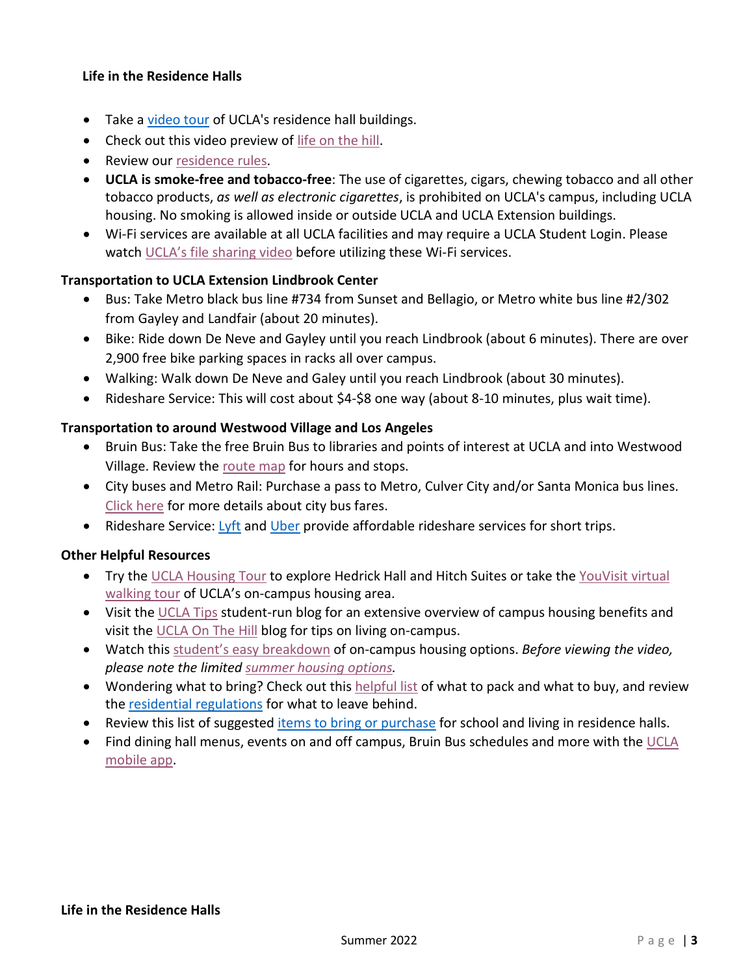## **Life in the Residence Halls**

- Take a [video tour](https://youtu.be/ZEZb5D0Z5fA) of UCLA's residence hall buildings.
- Check out this video preview of [life on the hill.](https://www.youtube.com/watch?v=loid1cir06g&feature=player_embedded)
- Review our [residence rules.](https://reslife.ucla.edu/rules/)
- **UCLA is smoke-free and tobacco-free**: The use of cigarettes, cigars, chewing tobacco and all other tobacco products, *[as well as elec](https://www.youtube.com/watch?v=MP_a4PKMkHk&list=PL8CDE9B5833172DDC&index=60)tronic cigarettes*, is prohibited on UCLA's campus, including UCLA housing. No smoking is allowed inside or outside UCLA and UCLA Extension buildings.
- <span id="page-2-0"></span>• Wi-Fi services are available at all UCLA facilities and may require a UCLA Student Login. Please watch UCLA's file sharing video before utilizing these Wi-Fi services.

## **Transportation to UCLA Extension Lindbrook Center**

- Bus: Take Metro black bus line #734 from Sunset and Bellagio, or Metro white bus line #2/302 from Gayley and Landfair (about 20 minutes).
- Bike: Ride down De Neve and Gayley until you reach Lindbrook (about 6 minutes). There are over 2,900 free bike parking spaces in racks all over campus.
- Walking: Walk down De Neve and Galey until you reach Lindbrook (about 30 minutes).
- Rideshare Service: This will cost about \$4-\$8 one way (about 8-10 minutes, plus wait time).

## **Transportation to around Westwood Village and Los Angeles**

- [Bruin Bus:](#page-8-0) Take the free Bruin Bus to libraries and points of interest at UCLA and into Westwood Villag[e](https://www.lyft.com/). Review the [route map](https://ucla.app.box.com/s/plphkdf3kyuv0x21p3ua49u107skidwt) for hours and stops.
- <span id="page-2-1"></span>• City buses and Metro Rail: Purchase a pass to Metro, Culver City and/or Santa Monica bus lines. Click here for more details about city bus fares.
- [Rideshare Ser](https://housing.ucla.edu/my-housing/maps-and-tours/on-campus-housing-walking-tour)vice: Lyft and Uber provide affordable rideshare services for sho[rt trips.](https://housing.ucla.edu/my-housing/maps-and-tours/on-campus-housing-walking-tour)

## **Other Helpful Resources**

- Try th[e UCLA Housing Tour](http://www.uclahousingtour.com/) to explore Hedrick Hall and Hitch Suites or take the YouVisit virtual walking tour of UCLA's on-campus housing area.
- Visit the [UCLA Tips](http://uclatips.tumblr.com/post/81158121292/on-campus-housing-explained) student-run blog for an extensive overview of campus housing benefits and visit the [UCLA On The Hill](https://uclaonthehill.wordpress.com/2014/09/24/how-to-laundry-on-the-hill/) blog for tips on living on-campus.
- Watch thi[s student's easy breakdown](https://www.youtube.com/watch?v=Lz3v53r3v6c) of on-campus housing options. *Before viewing the video, please note the limited summer housing options.*
- Wondering what to bring? Check out this [helpful list](#page-11-0) of what to pack and what to buy, an[d review](https://itunes.apple.com/us/app/ucla-mobile/id879908764?mt=8) [the](https://itunes.apple.com/us/app/ucla-mobile/id879908764?mt=8) [residential regulations](https://reslife.ucla.edu/regulations) for what to leave behind.
- Review this list of suggested [items to bring or purchase](#page-11-0) for school and living in residence halls.
- Find dining hall menus, events on and off campus, Bruin Bus schedules and more with the UCLA mobile app.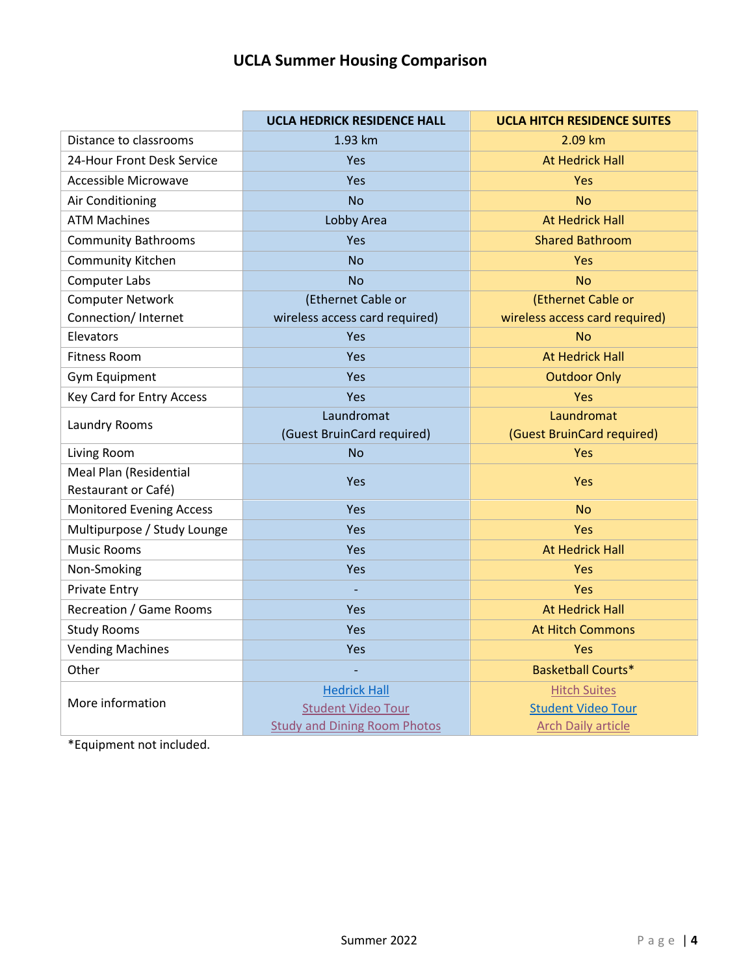# **UCLA Summer Housing Comparison**

|                                 | <b>UCLA HEDRICK RESIDENCE HALL</b>  | <b>UCLA HITCH RESIDENCE SUITES</b> |  |  |
|---------------------------------|-------------------------------------|------------------------------------|--|--|
| Distance to classrooms          | 1.93 km                             | 2.09 km                            |  |  |
| 24-Hour Front Desk Service      | Yes                                 | <b>At Hedrick Hall</b>             |  |  |
| <b>Accessible Microwave</b>     | Yes                                 | Yes                                |  |  |
| Air Conditioning                | <b>No</b>                           | <b>No</b>                          |  |  |
| <b>ATM Machines</b>             | Lobby Area                          | <b>At Hedrick Hall</b>             |  |  |
| <b>Community Bathrooms</b>      | Yes                                 | <b>Shared Bathroom</b>             |  |  |
| Community Kitchen               | No.                                 | <b>Yes</b>                         |  |  |
| <b>Computer Labs</b>            | No                                  | <b>No</b>                          |  |  |
| <b>Computer Network</b>         | (Ethernet Cable or                  | (Ethernet Cable or                 |  |  |
| Connection/ Internet            | wireless access card required)      | wireless access card required)     |  |  |
| Elevators                       | Yes                                 | <b>No</b>                          |  |  |
| <b>Fitness Room</b>             | Yes                                 | <b>At Hedrick Hall</b>             |  |  |
| Gym Equipment                   | Yes                                 | <b>Outdoor Only</b>                |  |  |
| Key Card for Entry Access       | Yes                                 | Yes                                |  |  |
| Laundry Rooms                   | Laundromat                          | Laundromat                         |  |  |
|                                 | (Guest BruinCard required)          | (Guest BruinCard required)         |  |  |
| Living Room                     | No.                                 | <b>Yes</b>                         |  |  |
| Meal Plan (Residential          | Yes                                 | Yes                                |  |  |
| Restaurant or Café)             |                                     |                                    |  |  |
| <b>Monitored Evening Access</b> | Yes                                 | <b>No</b>                          |  |  |
| Multipurpose / Study Lounge     | Yes                                 | Yes                                |  |  |
| <b>Music Rooms</b>              | Yes                                 | <b>At Hedrick Hall</b>             |  |  |
| Non-Smoking                     | Yes                                 | <b>Yes</b>                         |  |  |
| <b>Private Entry</b>            |                                     | Yes                                |  |  |
| Recreation / Game Rooms         | Yes                                 | <b>At Hedrick Hall</b>             |  |  |
| <b>Study Rooms</b>              | Yes                                 | <b>At Hitch Commons</b>            |  |  |
| <b>Vending Machines</b>         | Yes                                 | <b>Yes</b>                         |  |  |
| Other                           |                                     | <b>Basketball Courts*</b>          |  |  |
|                                 | <b>Hedrick Hall</b>                 | <b>Hitch Suites</b>                |  |  |
| More information                | <b>Student Video Tour</b>           | <b>Student Video Tour</b>          |  |  |
|                                 | <b>Study and Dining Room Photos</b> | <b>Arch Daily article</b>          |  |  |

\*Equipment not included.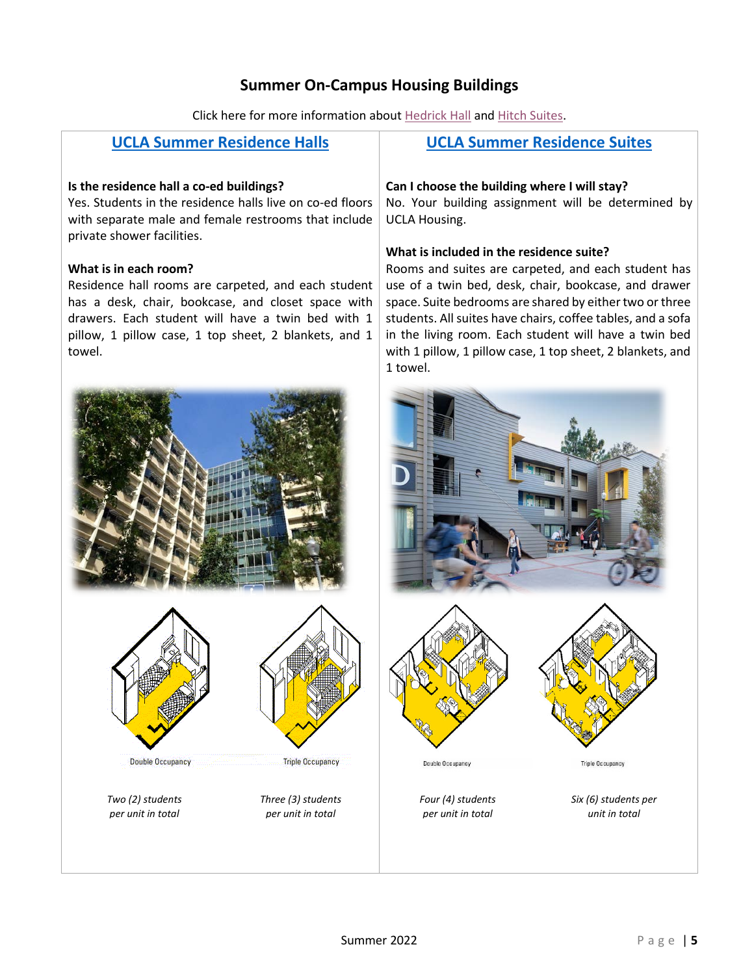## **Summer On-Campus Housing Buildings**

Click here for more information abou[t Hedrick Hall](https://housing.ucla.edu/student-housing/freshman-students/living-on-campus/hedrick-hall) and [Hitch Suites.](https://housing.ucla.edu/student-housing/freshman-students/living-on-campus/hitch-saxon-residential-suites)

## <span id="page-4-0"></span>**[UCLA Summer Residence Halls](https://housing.ucla.edu/summer-housing/summer-sessions-housing/summer-housing-in-the-residence-halls)**

### **Is the residence hall a co-ed buildings?**

Yes. Students in the residence halls live on co-ed floors with separate male and female restrooms that include private shower facilities.

### **What is in each room?**

Residence hall rooms are carpeted, and each student has a desk, chair, bookcase, and closet space with drawers. Each student will have a twin bed with 1 pillow, 1 pillow case, 1 top sheet, 2 blankets, and 1 towel.

## **[UCLA Summer Residence Suites](https://housing.ucla.edu/summer-housing/summer-sessions-housing/summer-housing-in-the-saxon-suites)**

#### **Can I choose the building where I will stay?**

No. Your building assignment will be determined by UCLA Housing.

### **What is included in the residence suite?**

Rooms and suites are carpeted, and each student has use of a twin bed, desk, chair, bookcase, and drawer space. Suite bedrooms are shared by either two or three students. All suites have chairs, coffee tables, and a sofa in the living room. Each student will have a twin bed with 1 pillow, 1 pillow case, 1 top sheet, 2 blankets, and 1 towel.

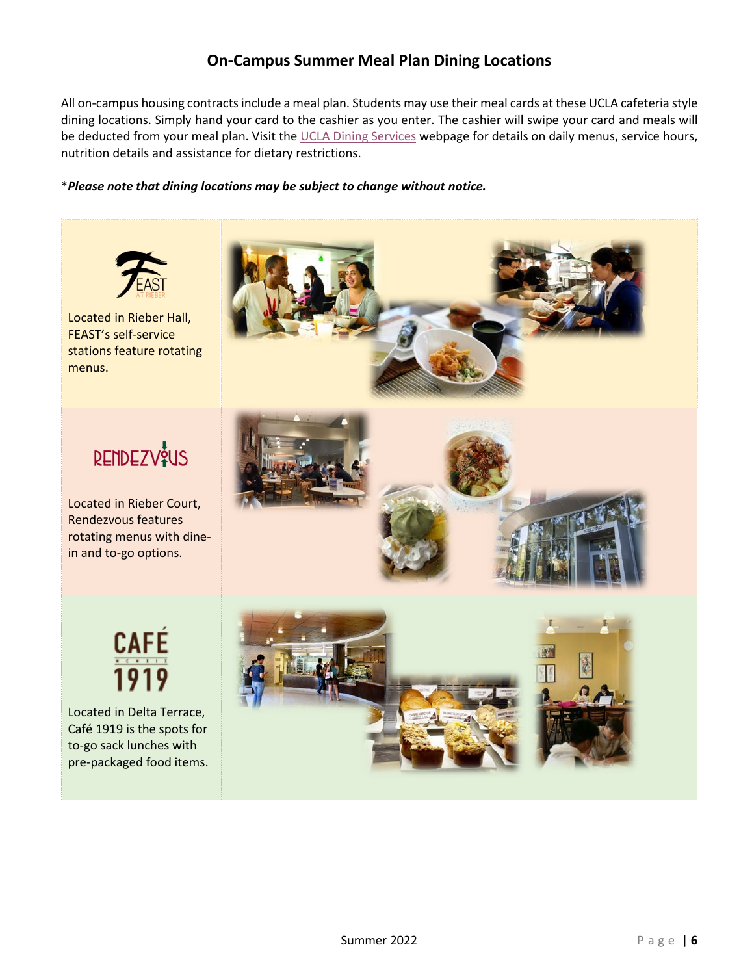## **On-Campus Summer Meal Plan Dining Locations**

<span id="page-5-0"></span>All on-campus housing contracts include a meal plan. Students may use their meal cards at these UCLA cafeteria style dining locations. Simply hand your card to the cashier as you enter. The cashier will swipe your card and meals will be deducted from your meal plan. Visit the [UCLA Dining Services](https://housing.ucla.edu/dining-services/overview) webpage for details on daily menus, service hours, nutrition details and assistance for dietary restrictions.

### \**Please note that dining locations may be subject to change without notice.*

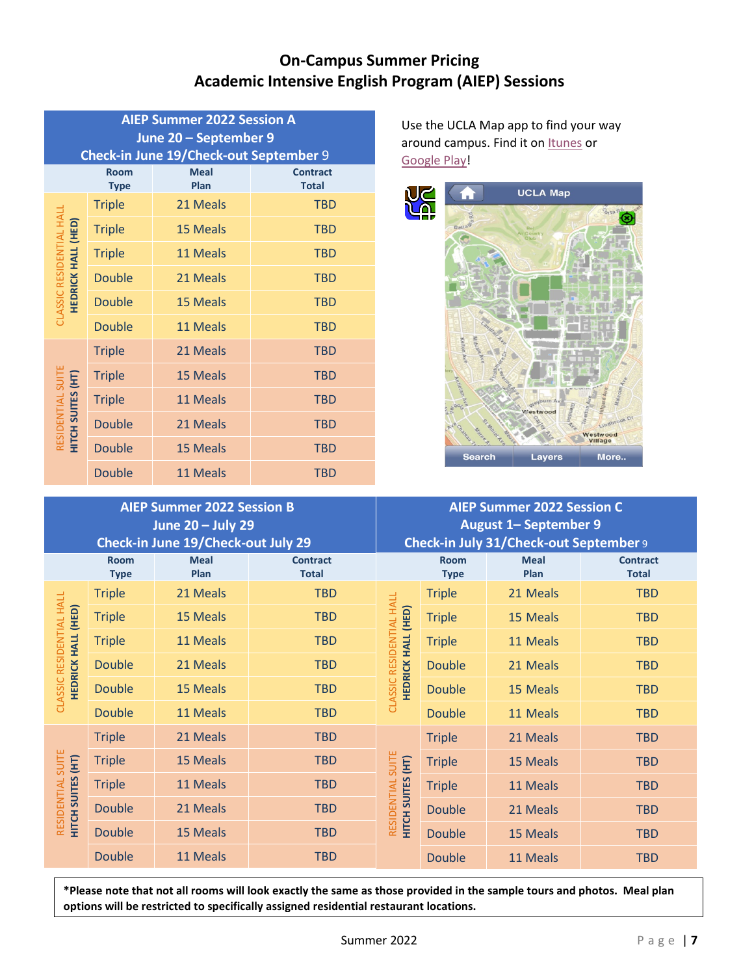## **On-Campus Summer Pricing Academic Intensive English Program (AIEP) Sessions**

<span id="page-6-0"></span>

| <b>AIEP Summer 2022 Session A</b>                                             |                           |                                        |            |  |  |  |  |  |
|-------------------------------------------------------------------------------|---------------------------|----------------------------------------|------------|--|--|--|--|--|
| June 20 - September 9                                                         |                           |                                        |            |  |  |  |  |  |
|                                                                               |                           | Check-in June 19/Check-out September 9 |            |  |  |  |  |  |
| <b>Meal</b><br>Room<br><b>Contract</b><br>Plan<br><b>Total</b><br><b>Type</b> |                           |                                        |            |  |  |  |  |  |
|                                                                               | <b>Triple</b>             | 21 Meals                               | <b>TBD</b> |  |  |  |  |  |
| <b>CLASSIC RESIDENTIAL HALL</b><br>HEDRICK HALL (HED)                         | <b>Triple</b>             | 15 Meals                               | <b>TBD</b> |  |  |  |  |  |
|                                                                               | 11 Meals<br><b>Triple</b> |                                        | <b>TBD</b> |  |  |  |  |  |
|                                                                               | <b>Double</b><br>21 Meals |                                        | <b>TBD</b> |  |  |  |  |  |
|                                                                               | <b>Double</b><br>15 Meals |                                        | <b>TBD</b> |  |  |  |  |  |
|                                                                               | <b>Double</b>             | 11 Meals                               | <b>TBD</b> |  |  |  |  |  |
|                                                                               | 21 Meals<br><b>Triple</b> |                                        | <b>TBD</b> |  |  |  |  |  |
|                                                                               | <b>Triple</b><br>15 Meals |                                        | <b>TBD</b> |  |  |  |  |  |
| RESIDENTIAL SUITE<br>HITCH SUITES (HT)                                        | <b>Triple</b>             | 11 Meals                               | <b>TBD</b> |  |  |  |  |  |
|                                                                               | <b>Double</b>             | 21 Meals                               | <b>TBD</b> |  |  |  |  |  |
|                                                                               | <b>Double</b>             | 15 Meals                               | <b>TBD</b> |  |  |  |  |  |
|                                                                               | <b>Double</b>             | 11 Meals                               | <b>TBD</b> |  |  |  |  |  |

Use the UCLA Map app to find your way around campus. Find it on **Itunes** or [Google Play!](https://play.google.com/store/apps/details?id=air.edu.ucla.gs.uclaMap)



| <b>AIEP Summer 2022 Session B</b><br>June 20 - July 29<br>Check-in June 19/Check-out July 29 |                            |                     | <b>AIEP Summer 2022 Session C</b><br>August 1- September 9<br>Check-in July 31/Check-out September 9 |                                                       |                            |                     |                                 |
|----------------------------------------------------------------------------------------------|----------------------------|---------------------|------------------------------------------------------------------------------------------------------|-------------------------------------------------------|----------------------------|---------------------|---------------------------------|
|                                                                                              | <b>Room</b><br><b>Type</b> | <b>Meal</b><br>Plan | <b>Contract</b><br><b>Total</b>                                                                      |                                                       | <b>Room</b><br><b>Type</b> | <b>Meal</b><br>Plan | <b>Contract</b><br><b>Total</b> |
|                                                                                              | <b>Triple</b>              | 21 Meals            | <b>TBD</b>                                                                                           |                                                       | <b>Triple</b>              | 21 Meals            | <b>TBD</b>                      |
|                                                                                              | <b>Triple</b>              | 15 Meals            | <b>TBD</b>                                                                                           |                                                       | <b>Triple</b>              | 15 Meals            | <b>TBD</b>                      |
|                                                                                              | <b>Triple</b>              | 11 Meals            | <b>TBD</b>                                                                                           | CLASSIC RESIDENTIAL HALL<br><b>HEDRICK HALL (HED)</b> | <b>Triple</b>              | 11 Meals            | <b>TBD</b>                      |
| CLASSIC RESIDENTIAL HALL<br>HEDRICK HALL (HED)                                               | <b>Double</b>              | 21 Meals            | <b>TBD</b>                                                                                           |                                                       | <b>Double</b>              | 21 Meals            | <b>TBD</b>                      |
|                                                                                              | <b>Double</b>              | 15 Meals            | <b>TBD</b>                                                                                           |                                                       | <b>Double</b>              | 15 Meals            | <b>TBD</b>                      |
|                                                                                              | <b>Double</b>              | 11 Meals            | <b>TBD</b>                                                                                           |                                                       | <b>Double</b>              | 11 Meals            | <b>TBD</b>                      |
|                                                                                              | <b>Triple</b>              | 21 Meals            | <b>TBD</b>                                                                                           |                                                       | <b>Triple</b>              | 21 Meals            | <b>TBD</b>                      |
|                                                                                              | <b>Triple</b>              | 15 Meals            | <b>TBD</b>                                                                                           |                                                       | <b>Triple</b>              | 15 Meals            | <b>TBD</b>                      |
|                                                                                              | <b>Triple</b>              | 11 Meals            | <b>TBD</b>                                                                                           |                                                       | <b>Triple</b>              | 11 Meals            | <b>TBD</b>                      |
| RESIDENTIAL SUITE<br>HITCH SUITES (HT)                                                       | <b>Double</b>              | 21 Meals            | <b>TBD</b>                                                                                           | RESIDENTIAL SUITE<br>HITCH SUITES (HT)                | <b>Double</b>              | 21 Meals            | <b>TBD</b>                      |
|                                                                                              | <b>Double</b>              | 15 Meals            | <b>TBD</b>                                                                                           |                                                       | <b>Double</b>              | 15 Meals            | <b>TBD</b>                      |
|                                                                                              | <b>Double</b>              | 11 Meals            | <b>TBD</b>                                                                                           |                                                       | <b>Double</b>              | 11 Meals            | <b>TBD</b>                      |

**\*Please note that not all rooms will look exactly the same as those provided in the sample tours and photos. Meal plan options will be restricted to specifically assigned residential restaurant locations.**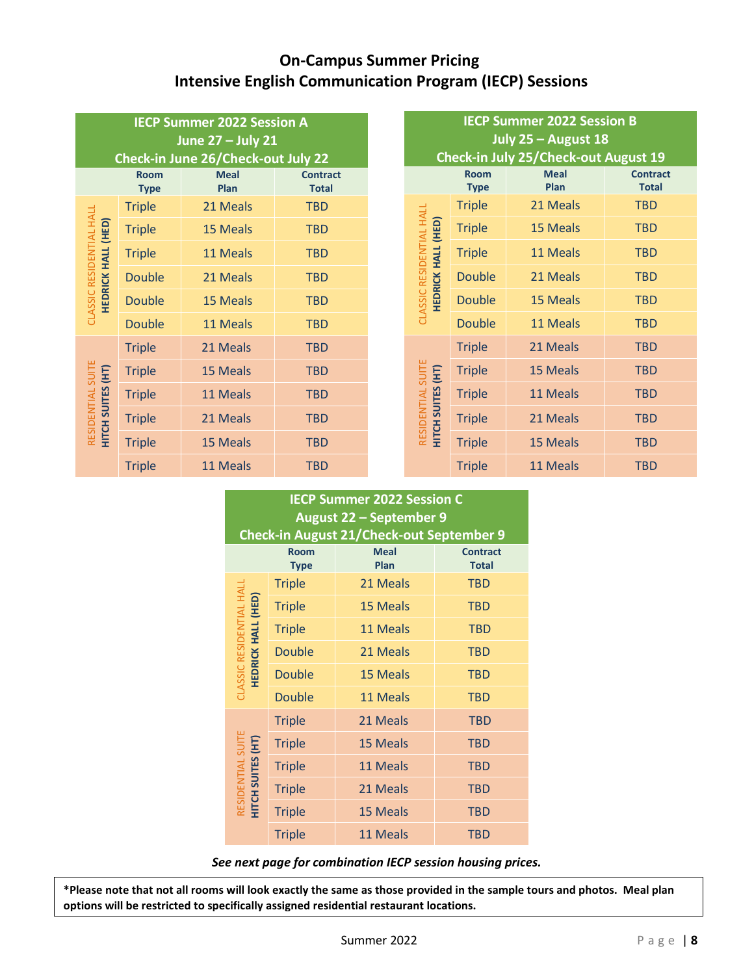## **On-Campus Summer Pricing Intensive English Communication Program (IECP) Sessions**

| <b>IECP Summer 2022 Session A</b><br>June 27 - July 21<br>Check-in June 26/Check-out July 22 |                            |                     |                                 | <b>IECP Summer 2022 Session B</b><br>July $25 -$ August 18<br><b>Check-in July 25/Check-out August 19</b> |                                                       |                            |                     |                                 |
|----------------------------------------------------------------------------------------------|----------------------------|---------------------|---------------------------------|-----------------------------------------------------------------------------------------------------------|-------------------------------------------------------|----------------------------|---------------------|---------------------------------|
|                                                                                              | <b>Room</b><br><b>Type</b> | <b>Meal</b><br>Plan | <b>Contract</b><br><b>Total</b> |                                                                                                           |                                                       | <b>Room</b><br><b>Type</b> | <b>Meal</b><br>Plan | <b>Contract</b><br><b>Total</b> |
|                                                                                              | <b>Triple</b>              | 21 Meals            | <b>TBD</b>                      |                                                                                                           |                                                       | <b>Triple</b>              | 21 Meals            | <b>TBD</b>                      |
|                                                                                              | <b>Triple</b>              | 15 Meals            | <b>TBD</b>                      |                                                                                                           |                                                       | <b>Triple</b>              | 15 Meals            | <b>TBD</b>                      |
| CLASSIC RESIDENTIAL HALL<br><b>HEDRICK HALL (HED)</b>                                        | <b>Triple</b>              | 11 Meals            | <b>TBD</b>                      |                                                                                                           | CLASSIC RESIDENTIAL HALL<br><b>HEDRICK HALL (HED)</b> | <b>Triple</b>              | 11 Meals            | <b>TBD</b>                      |
|                                                                                              | <b>Double</b>              | 21 Meals            | <b>TBD</b>                      |                                                                                                           |                                                       | <b>Double</b>              | 21 Meals            | <b>TBD</b>                      |
|                                                                                              | <b>Double</b>              | 15 Meals            | <b>TBD</b>                      |                                                                                                           |                                                       | <b>Double</b>              | 15 Meals            | <b>TBD</b>                      |
|                                                                                              | <b>Double</b>              | 11 Meals            | <b>TBD</b>                      |                                                                                                           |                                                       | <b>Double</b>              | 11 Meals            | <b>TBD</b>                      |
|                                                                                              | <b>Triple</b>              | 21 Meals            | <b>TBD</b>                      |                                                                                                           |                                                       | <b>Triple</b>              | 21 Meals            | <b>TBD</b>                      |
|                                                                                              | <b>Triple</b>              | 15 Meals            | <b>TBD</b>                      |                                                                                                           |                                                       | <b>Triple</b>              | 15 Meals            | <b>TBD</b>                      |
|                                                                                              | <b>Triple</b>              | 11 Meals            | <b>TBD</b>                      |                                                                                                           |                                                       | <b>Triple</b>              | 11 Meals            | <b>TBD</b>                      |
| RESIDENTIAL SUITE<br>HITCH SUITES (HT)                                                       | <b>Triple</b>              | 21 Meals            | <b>TBD</b>                      |                                                                                                           | RESIDENTIAL SUITE<br>HITCH SUITES (HT)                | <b>Triple</b>              | 21 Meals            | <b>TBD</b>                      |
|                                                                                              | <b>Triple</b>              | 15 Meals            | <b>TBD</b>                      |                                                                                                           |                                                       | <b>Triple</b>              | 15 Meals            | <b>TBD</b>                      |
|                                                                                              | <b>Triple</b>              | 11 Meals            | <b>TBD</b>                      |                                                                                                           |                                                       | <b>Triple</b>              | 11 Meals            | <b>TBD</b>                      |

|                                                                                      | <b>IECP Summer 2022 Session C</b>               |               |          |            |  |  |  |  |
|--------------------------------------------------------------------------------------|-------------------------------------------------|---------------|----------|------------|--|--|--|--|
|                                                                                      | August 22 - September 9                         |               |          |            |  |  |  |  |
|                                                                                      | <b>Check-in August 21/Check-out September 9</b> |               |          |            |  |  |  |  |
| <b>Meal</b><br><b>Contract</b><br><b>Room</b><br>Plan<br><b>Total</b><br><b>Type</b> |                                                 |               |          |            |  |  |  |  |
|                                                                                      |                                                 | <b>Triple</b> | 21 Meals | <b>TBD</b> |  |  |  |  |
|                                                                                      |                                                 | <b>Triple</b> | 15 Meals | <b>TBD</b> |  |  |  |  |
|                                                                                      |                                                 | <b>Triple</b> | 11 Meals |            |  |  |  |  |
|                                                                                      |                                                 | <b>Double</b> | 21 Meals |            |  |  |  |  |
|                                                                                      | CLASSIC RESIDENTIAL HALL<br>HEDRICK HALL (HED)  | <b>Double</b> | 15 Meals | <b>TBD</b> |  |  |  |  |
|                                                                                      |                                                 | <b>Double</b> | 11 Meals | <b>TBD</b> |  |  |  |  |
|                                                                                      |                                                 | <b>Triple</b> | 21 Meals | <b>TBD</b> |  |  |  |  |
|                                                                                      | RESIDENTIAL SUITE                               | <b>Triple</b> | 15 Meals | <b>TBD</b> |  |  |  |  |
|                                                                                      |                                                 | <b>Triple</b> | 11 Meals | <b>TBD</b> |  |  |  |  |
|                                                                                      | HITCH SUITES (HT)                               | <b>Triple</b> | 21 Meals | <b>TBD</b> |  |  |  |  |
|                                                                                      |                                                 | <b>Triple</b> | 15 Meals | <b>TBD</b> |  |  |  |  |
|                                                                                      |                                                 | <b>Triple</b> | 11 Meals | <b>TBD</b> |  |  |  |  |

*See next page for combination IECP session housing prices.*

**\*Please note that not all rooms will look exactly the same as those provided in the sample tours and photos. Meal plan options will be restricted to specifically assigned residential restaurant locations.**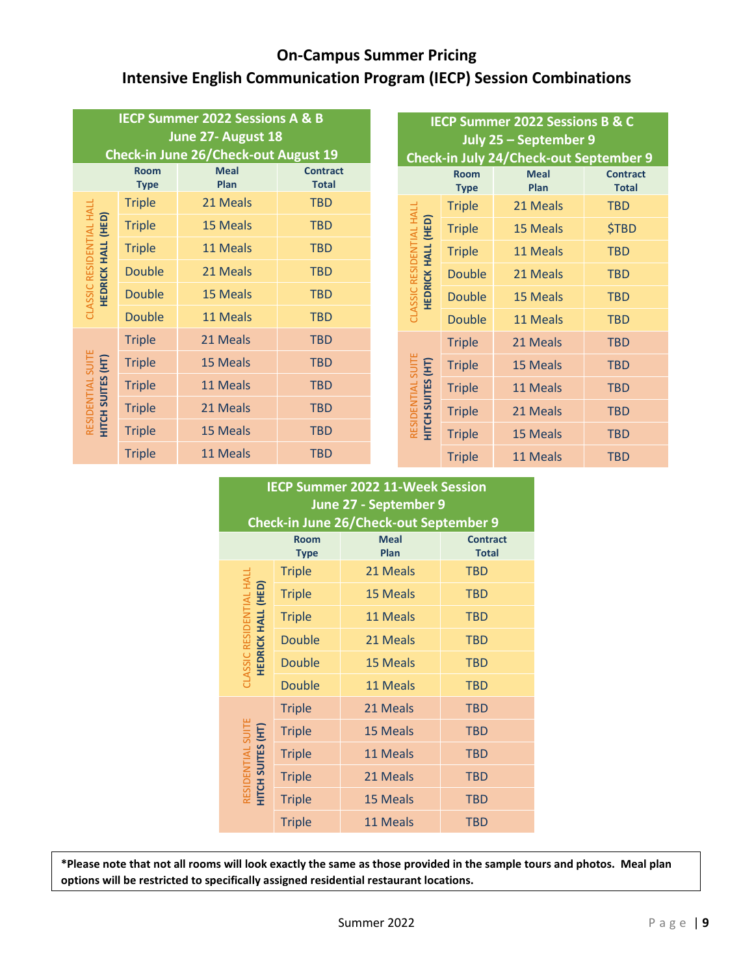# **On-Campus Summer Pricing Intensive English Communication Program (IECP) Session Combinations**

| <b>IECP Summer 2022 Sessions A &amp; B</b><br>June 27- August 18<br><b>Check-in June 26/Check-out August 19</b> |                            |                     |                                 | <b>IECP Summer 2022 Sessions B &amp; C</b><br>July 25 - September 9<br><b>Check-in July 24/Check-out September 9</b> |                                    |                            |                     |                                 |
|-----------------------------------------------------------------------------------------------------------------|----------------------------|---------------------|---------------------------------|----------------------------------------------------------------------------------------------------------------------|------------------------------------|----------------------------|---------------------|---------------------------------|
|                                                                                                                 | <b>Room</b><br><b>Type</b> | <b>Meal</b><br>Plan | <b>Contract</b><br><b>Total</b> |                                                                                                                      |                                    | <b>Room</b><br><b>Type</b> | <b>Meal</b><br>Plan | <b>Contract</b><br><b>Total</b> |
|                                                                                                                 | <b>Triple</b>              | 21 Meals            | <b>TBD</b>                      |                                                                                                                      |                                    | <b>Triple</b>              | 21 Meals            | <b>TBD</b>                      |
|                                                                                                                 | <b>Triple</b>              | 15 Meals            | <b>TBD</b>                      |                                                                                                                      | (HED)                              | <b>Triple</b>              | 15 Meals            | <b>\$TBD</b>                    |
|                                                                                                                 | <b>Triple</b>              | 11 Meals            | <b>TBD</b>                      | RESIDENTIAL HALL<br><b>HEDRICK HALL</b><br>CLASSIC                                                                   | <b>Triple</b>                      | 11 Meals                   | <b>TBD</b>          |                                 |
| CLASSIC RESIDENTIAL HALL<br>HEDRICK HALL (HED)                                                                  | <b>Double</b>              | 21 Meals            | <b>TBD</b>                      |                                                                                                                      |                                    | <b>Double</b>              | 21 Meals            | <b>TBD</b>                      |
|                                                                                                                 | <b>Double</b>              | 15 Meals            | <b>TBD</b>                      |                                                                                                                      |                                    | <b>Double</b>              | 15 Meals            | <b>TBD</b>                      |
|                                                                                                                 | <b>Double</b>              | 11 Meals            | <b>TBD</b>                      |                                                                                                                      |                                    | <b>Double</b>              | 11 Meals            | <b>TBD</b>                      |
|                                                                                                                 | <b>Triple</b>              | 21 Meals            | <b>TBD</b>                      |                                                                                                                      |                                    | <b>Triple</b>              | 21 Meals            | <b>TBD</b>                      |
| SUITE                                                                                                           | <b>Triple</b>              | 15 Meals            | <b>TBD</b>                      |                                                                                                                      | SUITE<br>E                         | <b>Triple</b>              | 15 Meals            | <b>TBD</b>                      |
| HITCH SUITES (HT)                                                                                               | <b>Triple</b>              | 11 Meals            | <b>TBD</b>                      |                                                                                                                      |                                    | <b>Triple</b>              | 11 Meals            | <b>TBD</b>                      |
| <b>RESIDENTIAL</b>                                                                                              | <b>Triple</b>              | 21 Meals            | <b>TBD</b>                      |                                                                                                                      | HITCH SUITES<br><b>RESIDENTIAL</b> | <b>Triple</b>              | 21 Meals            | <b>TBD</b>                      |
|                                                                                                                 | <b>Triple</b>              | 15 Meals            | <b>TBD</b>                      |                                                                                                                      |                                    | <b>Triple</b>              | 15 Meals            | <b>TBD</b>                      |
|                                                                                                                 | <b>Triple</b>              | 11 Meals            | <b>TBD</b>                      |                                                                                                                      |                                    | <b>Triple</b>              | 11 Meals            | <b>TBD</b>                      |

| <b>IECP Summer 2022 11-Week Session</b>                                              |                                               |          |            |  |  |  |  |  |
|--------------------------------------------------------------------------------------|-----------------------------------------------|----------|------------|--|--|--|--|--|
| June 27 - September 9                                                                |                                               |          |            |  |  |  |  |  |
|                                                                                      | <b>Check-in June 26/Check-out September 9</b> |          |            |  |  |  |  |  |
| <b>Meal</b><br><b>Contract</b><br><b>Room</b><br>Plan<br><b>Total</b><br><b>Type</b> |                                               |          |            |  |  |  |  |  |
|                                                                                      | <b>Triple</b>                                 | 21 Meals | <b>TBD</b> |  |  |  |  |  |
|                                                                                      | <b>Triple</b>                                 | 15 Meals | <b>TBD</b> |  |  |  |  |  |
|                                                                                      | <b>Triple</b><br>11 Meals                     |          | <b>TBD</b> |  |  |  |  |  |
|                                                                                      | <b>Double</b><br>21 Meals                     |          | <b>TBD</b> |  |  |  |  |  |
| <b>CLASSIC RESIDENTIAL HALI</b><br><b>HEDRICK HALL (HED)</b>                         | <b>Double</b><br>15 Meals                     |          | <b>TBD</b> |  |  |  |  |  |
|                                                                                      | <b>Double</b>                                 | 11 Meals | <b>TBD</b> |  |  |  |  |  |
|                                                                                      | <b>Triple</b>                                 | 21 Meals | <b>TBD</b> |  |  |  |  |  |
|                                                                                      | <b>Triple</b>                                 | 15 Meals |            |  |  |  |  |  |
| HITCH SUITES (HT)<br>RESIDENTIAL SUIT                                                | <b>Triple</b>                                 | 11 Meals | <b>TBD</b> |  |  |  |  |  |
|                                                                                      | <b>Triple</b>                                 | 21 Meals | <b>TBD</b> |  |  |  |  |  |
|                                                                                      | <b>Triple</b>                                 | 15 Meals | <b>TBD</b> |  |  |  |  |  |
|                                                                                      | <b>Triple</b>                                 | 11 Meals | <b>TBD</b> |  |  |  |  |  |
|                                                                                      |                                               |          |            |  |  |  |  |  |

<span id="page-8-0"></span>**\*Please note that not all rooms will look exactly the same as those provided in the sample tours and photos. Meal plan options will be restricted to specifically assigned residential restaurant locations.**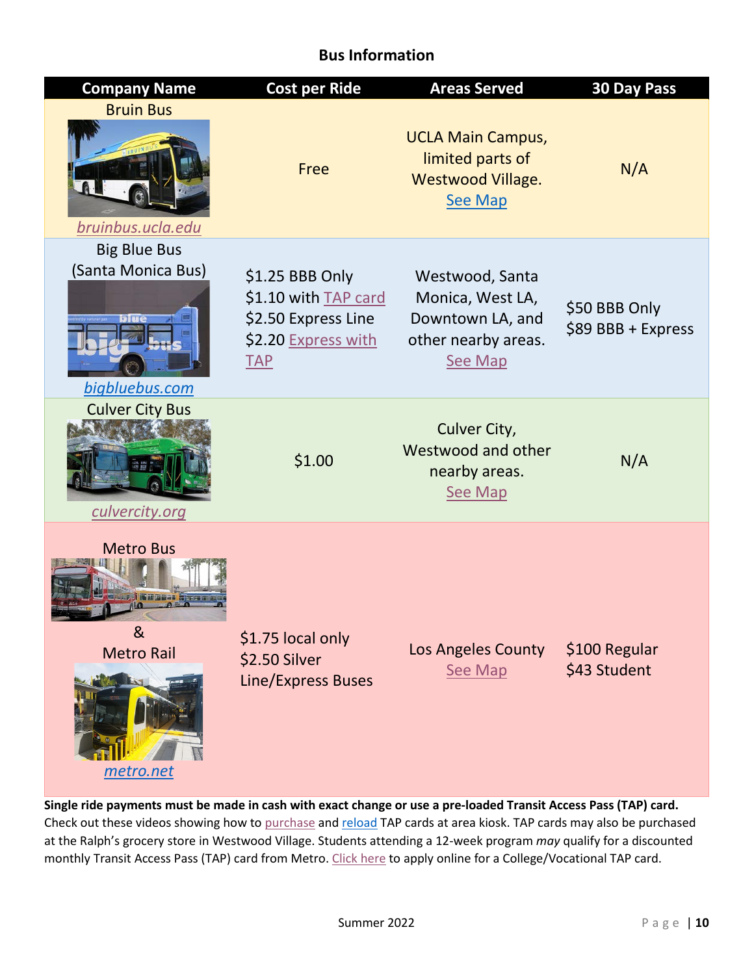## **Bus Information**

| <b>Company Name</b>                                         | <b>Cost per Ride</b>                                                                                | <b>Areas Served</b>                                                                       | <b>30 Day Pass</b>                  |
|-------------------------------------------------------------|-----------------------------------------------------------------------------------------------------|-------------------------------------------------------------------------------------------|-------------------------------------|
| <b>Bruin Bus</b><br>bruinbus.ucla.edu                       | Free                                                                                                | <b>UCLA Main Campus,</b><br>limited parts of<br>Westwood Village.<br>See Map              | N/A                                 |
| <b>Big Blue Bus</b><br>(Santa Monica Bus)<br>bigbluebus.com | \$1.25 BBB Only<br>\$1.10 with TAP card<br>\$2.50 Express Line<br>\$2.20 Express with<br><b>TAP</b> | Westwood, Santa<br>Monica, West LA,<br>Downtown LA, and<br>other nearby areas.<br>See Map | \$50 BBB Only<br>\$89 BBB + Express |
| <b>Culver City Bus</b><br>culvercity.org                    | \$1.00                                                                                              | Culver City,<br>Westwood and other<br>nearby areas.<br>See Map                            | N/A                                 |
| <b>Metro Bus</b><br>&<br><b>Metro Rail</b><br>metro.net     | \$1.75 local only<br>\$2.50 Silver<br>Line/Express Buses                                            | Los Angeles County<br>See Map                                                             | \$100 Regular<br>\$43 Student       |

**Single ride payments must be made in cash with exact change or use a pre-loaded Transit Access Pass (TAP) card.** Check out these videos showing how to [purchase](https://youtu.be/6gJpI2H_kXk) and [reload](https://youtu.be/8vTks8IA3JQ) TAP cards at area kiosk. TAP cards may also be purchased at the Ralph's grocery store in Westwood Village. Students attending a 12-week program *may* qualify for a discounted monthly Transit Access Pass (TAP) card from Metro[. Click here](https://www.taptogo.net/Reduced_Fare#college) to apply online for a College/Vocational TAP card.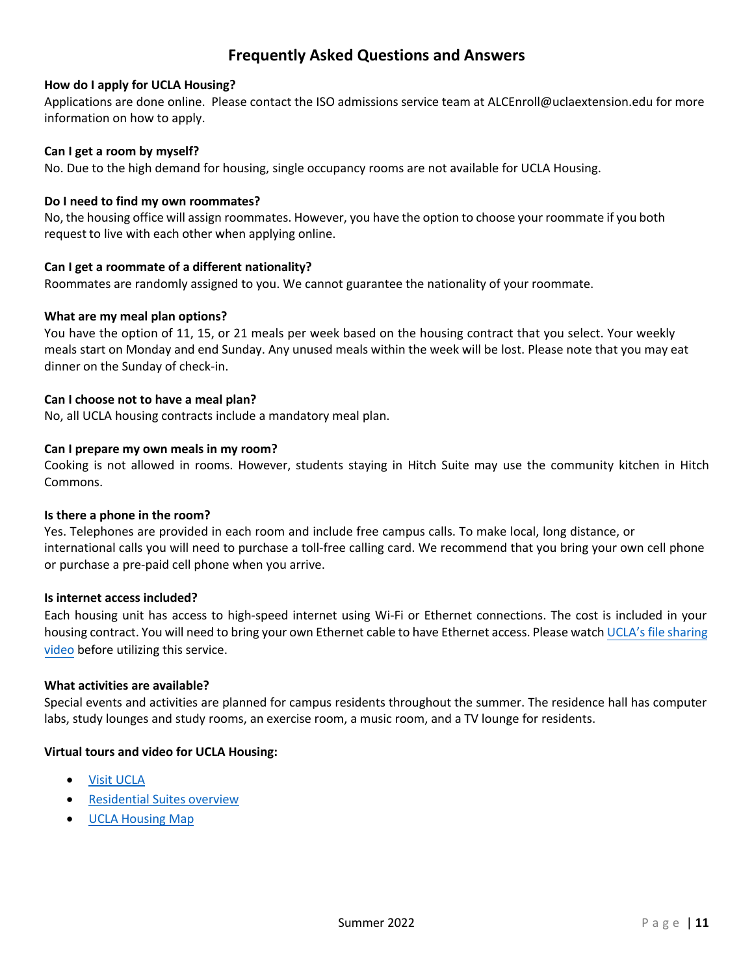## **Frequently Asked Questions and Answers**

### <span id="page-10-0"></span>**How do I apply for UCLA Housing?**

Applications are done online. Please contact the ISO admissions service team at ALCEnroll@uclaextension.edu for more information on how to apply.

### **Can I get a room by myself?**

No. Due to the high demand for housing, single occupancy rooms are not available for UCLA Housing.

### **Do I need to find my own roommates?**

No, the housing office will assign roommates. However, you have the option to choose your roommate if you both request to live with each other when applying online.

### **Can I get a roommate of a different nationality?**

Roommates are randomly assigned to you. We cannot guarantee the nationality of your roommate.

### **What are my meal plan options?**

You have the option of 11, 15, or 21 meals per week based on the housing contract that you select. Your weekly meals start on Monday and end Sunday. Any unused meals within the week will be lost. Please note that you may eat dinner on the Sunday of check-in.

### **Can I choose not to have a meal plan?**

No, all UCLA housing contracts include a mandatory meal plan.

### **Can I prepare my own meals in my room?**

Cooking is not allowed in rooms. However, students staying in Hitch Suite may use the community kitchen in Hitch Commons.

#### **Is there a phone in the room?**

Yes. Telephones are provided in each room and include free campus calls. To make local, long distance, or international calls you will need to purchase a toll-free calling card. We recommend that you bring your own cell phone or purchase a pre-paid cell phone when you arrive.

#### **Is internet access included?**

Each housing unit has access to high-speed internet using Wi-Fi or Ethernet connections. The cost [is included in](https://www.youtube.com/watch?v=MP_a4PKMkHk&list=PL8CDE9B5833172DDC&index=60) your [housin](https://www.youtube.com/watch?v=MP_a4PKMkHk&list=PL8CDE9B5833172DDC&index=60)g contract. You will need to bring your own Ethernet cable to have Ethernet access. Please watch UCLA's file sharing video before utilizing this service.

#### **What activities are available?**

Special events and activities are planned for campus residents throughout the summer. The residence hall has computer labs, study lounges and study rooms, an exercise room, a music room, and a TV lounge for residents.

### **Virtual [tours and v](http://www.ucla.edu/visit)ideo for UCLA Housing:**

- **[Visit UCLA](https://www.youtube.com/watch?v=WDj-vZ9HxcY)**
- [Residential Suites ov](http://www.uclahousingtour.com/)erview
- UCLA Housing Map